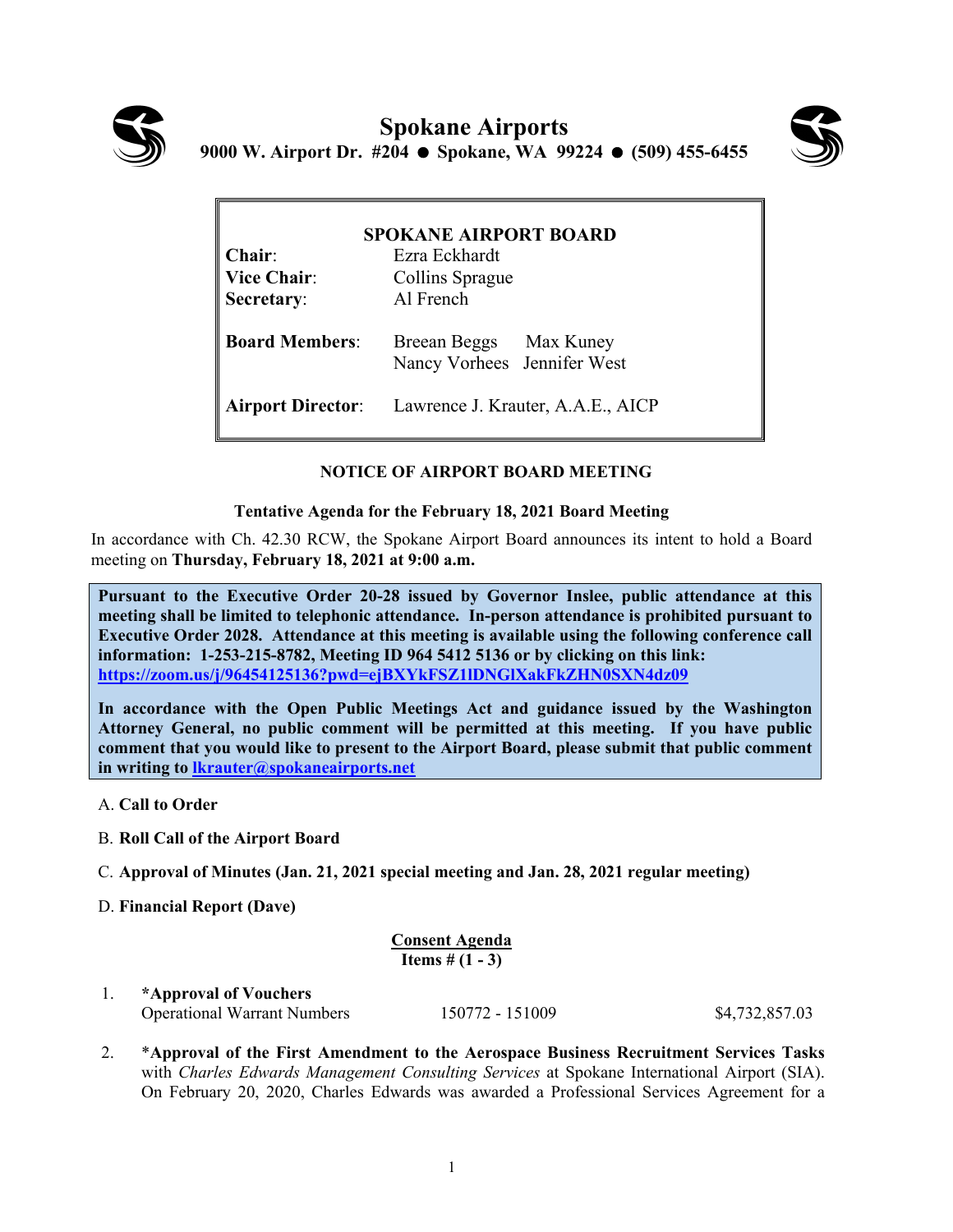



| <b>SPOKANE AIRPORT BOARD</b> |                                                       |
|------------------------------|-------------------------------------------------------|
| Chair:                       | Ezra Eckhardt                                         |
| <b>Vice Chair:</b>           | Collins Sprague                                       |
| Secretary:                   | Al French                                             |
| <b>Board Members:</b>        | Breean Beggs Max Kuney<br>Nancy Vorhees Jennifer West |
| <b>Airport Director:</b>     | Lawrence J. Krauter, A.A.E., AICP                     |

# **NOTICE OF AIRPORT BOARD MEETING**

## **Tentative Agenda for the February 18, 2021 Board Meeting**

In accordance with Ch. 42.30 RCW, the Spokane Airport Board announces its intent to hold a Board meeting on **Thursday, February 18, 2021 at 9:00 a.m.** 

**Pursuant to the Executive Order 20-28 issued by Governor Inslee, public attendance at this meeting shall be limited to telephonic attendance. In-person attendance is prohibited pursuant to Executive Order 2028. Attendance at this meeting is available using the following conference call information: 1-253-215-8782, Meeting ID 964 5412 5136 or by clicking on this link: https://zoom.us/j/96454125136?pwd=ejBXYkFSZ1lDNGlXakFkZHN0SXN4dz09**

**In accordance with the Open Public Meetings Act and guidance issued by the Washington Attorney General, no public comment will be permitted at this meeting. If you have public comment that you would like to present to the Airport Board, please submit that public comment in writing to lkrauter@spokaneairports.net**

- A. **Call to Order**
- B. **Roll Call of the Airport Board**
- C. **Approval of Minutes (Jan. 21, 2021 special meeting and Jan. 28, 2021 regular meeting)**
- D. **Financial Report (Dave)**

**Consent Agenda Items # (1 - 3)**

1. **\*Approval of Vouchers** Operational Warrant Numbers 150772 - 151009 \$4,732,857.03

2. \***Approval of the First Amendment to the Aerospace Business Recruitment Services Tasks** with *Charles Edwards Management Consulting Services* at Spokane International Airport (SIA). On February 20, 2020, Charles Edwards was awarded a Professional Services Agreement for a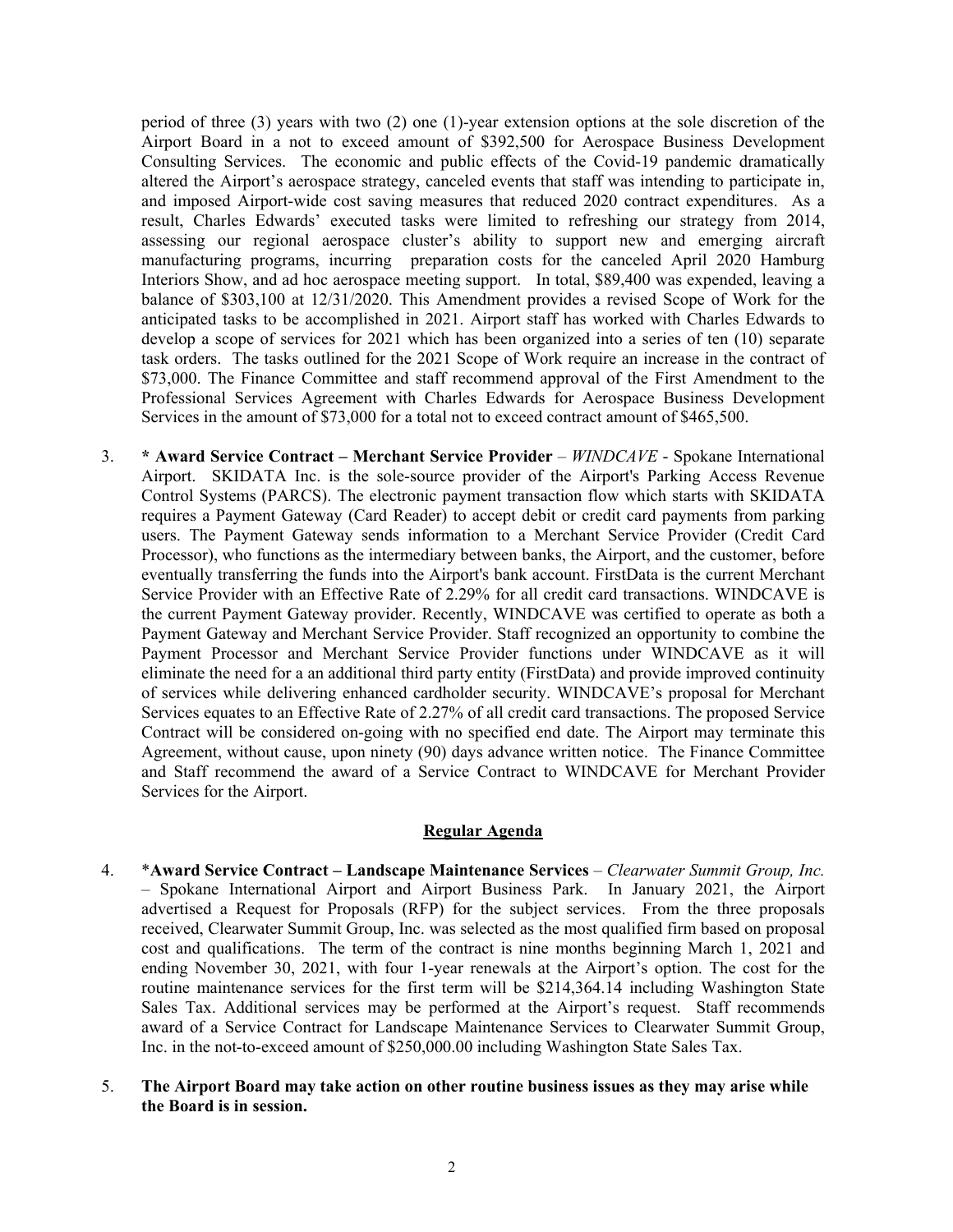period of three (3) years with two (2) one (1)-year extension options at the sole discretion of the Airport Board in a not to exceed amount of \$392,500 for Aerospace Business Development Consulting Services. The economic and public effects of the Covid-19 pandemic dramatically altered the Airport's aerospace strategy, canceled events that staff was intending to participate in, and imposed Airport-wide cost saving measures that reduced 2020 contract expenditures. As a result, Charles Edwards' executed tasks were limited to refreshing our strategy from 2014, assessing our regional aerospace cluster's ability to support new and emerging aircraft manufacturing programs, incurring preparation costs for the canceled April 2020 Hamburg Interiors Show, and ad hoc aerospace meeting support. In total, \$89,400 was expended, leaving a balance of \$303,100 at 12/31/2020. This Amendment provides a revised Scope of Work for the anticipated tasks to be accomplished in 2021. Airport staff has worked with Charles Edwards to develop a scope of services for 2021 which has been organized into a series of ten (10) separate task orders. The tasks outlined for the 2021 Scope of Work require an increase in the contract of \$73,000. The Finance Committee and staff recommend approval of the First Amendment to the Professional Services Agreement with Charles Edwards for Aerospace Business Development Services in the amount of \$73,000 for a total not to exceed contract amount of \$465,500.

3. **\* Award Service Contract – Merchant Service Provider** – *WINDCAVE* - Spokane International Airport. SKIDATA Inc. is the sole-source provider of the Airport's Parking Access Revenue Control Systems (PARCS). The electronic payment transaction flow which starts with SKIDATA requires a Payment Gateway (Card Reader) to accept debit or credit card payments from parking users. The Payment Gateway sends information to a Merchant Service Provider (Credit Card Processor), who functions as the intermediary between banks, the Airport, and the customer, before eventually transferring the funds into the Airport's bank account. FirstData is the current Merchant Service Provider with an Effective Rate of 2.29% for all credit card transactions. WINDCAVE is the current Payment Gateway provider. Recently, WINDCAVE was certified to operate as both a Payment Gateway and Merchant Service Provider. Staff recognized an opportunity to combine the Payment Processor and Merchant Service Provider functions under WINDCAVE as it will eliminate the need for a an additional third party entity (FirstData) and provide improved continuity of services while delivering enhanced cardholder security. WINDCAVE's proposal for Merchant Services equates to an Effective Rate of 2.27% of all credit card transactions. The proposed Service Contract will be considered on-going with no specified end date. The Airport may terminate this Agreement, without cause, upon ninety (90) days advance written notice. The Finance Committee and Staff recommend the award of a Service Contract to WINDCAVE for Merchant Provider Services for the Airport.

#### **Regular Agenda**

- 4. \***Award Service Contract Landscape Maintenance Services** *Clearwater Summit Group, Inc.* – Spokane International Airport and Airport Business Park. In January 2021, the Airport advertised a Request for Proposals (RFP) for the subject services. From the three proposals received, Clearwater Summit Group, Inc. was selected as the most qualified firm based on proposal cost and qualifications. The term of the contract is nine months beginning March 1, 2021 and ending November 30, 2021, with four 1-year renewals at the Airport's option. The cost for the routine maintenance services for the first term will be \$214,364.14 including Washington State Sales Tax. Additional services may be performed at the Airport's request. Staff recommends award of a Service Contract for Landscape Maintenance Services to Clearwater Summit Group, Inc. in the not-to-exceed amount of \$250,000.00 including Washington State Sales Tax.
- 5. **The Airport Board may take action on other routine business issues as they may arise while the Board is in session.**